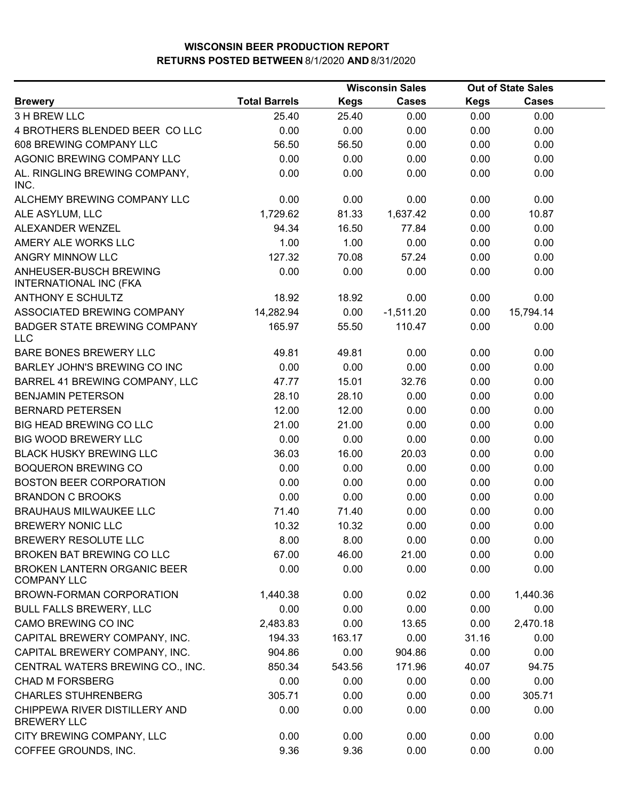|                                                          |                      |             | <b>Wisconsin Sales</b> | <b>Out of State Sales</b> |              |  |
|----------------------------------------------------------|----------------------|-------------|------------------------|---------------------------|--------------|--|
| <b>Brewery</b>                                           | <b>Total Barrels</b> | <b>Kegs</b> | <b>Cases</b>           | <b>Kegs</b>               | <b>Cases</b> |  |
| 3 H BREW LLC                                             | 25.40                | 25.40       | 0.00                   | 0.00                      | 0.00         |  |
| 4 BROTHERS BLENDED BEER COLLC                            | 0.00                 | 0.00        | 0.00                   | 0.00                      | 0.00         |  |
| 608 BREWING COMPANY LLC                                  | 56.50                | 56.50       | 0.00                   | 0.00                      | 0.00         |  |
| AGONIC BREWING COMPANY LLC                               | 0.00                 | 0.00        | 0.00                   | 0.00                      | 0.00         |  |
| AL. RINGLING BREWING COMPANY,<br>INC.                    | 0.00                 | 0.00        | 0.00                   | 0.00                      | 0.00         |  |
| ALCHEMY BREWING COMPANY LLC                              | 0.00                 | 0.00        | 0.00                   | 0.00                      | 0.00         |  |
| ALE ASYLUM, LLC                                          | 1,729.62             | 81.33       | 1,637.42               | 0.00                      | 10.87        |  |
| ALEXANDER WENZEL                                         | 94.34                | 16.50       | 77.84                  | 0.00                      | 0.00         |  |
| AMERY ALE WORKS LLC                                      | 1.00                 | 1.00        | 0.00                   | 0.00                      | 0.00         |  |
| ANGRY MINNOW LLC                                         | 127.32               | 70.08       | 57.24                  | 0.00                      | 0.00         |  |
| ANHEUSER-BUSCH BREWING<br><b>INTERNATIONAL INC (FKA</b>  | 0.00                 | 0.00        | 0.00                   | 0.00                      | 0.00         |  |
| <b>ANTHONY E SCHULTZ</b>                                 | 18.92                | 18.92       | 0.00                   | 0.00                      | 0.00         |  |
| ASSOCIATED BREWING COMPANY                               | 14,282.94            | 0.00        | $-1,511.20$            | 0.00                      | 15,794.14    |  |
| <b>BADGER STATE BREWING COMPANY</b><br><b>LLC</b>        | 165.97               | 55.50       | 110.47                 | 0.00                      | 0.00         |  |
| <b>BARE BONES BREWERY LLC</b>                            | 49.81                | 49.81       | 0.00                   | 0.00                      | 0.00         |  |
| BARLEY JOHN'S BREWING CO INC                             | 0.00                 | 0.00        | 0.00                   | 0.00                      | 0.00         |  |
| BARREL 41 BREWING COMPANY, LLC                           | 47.77                | 15.01       | 32.76                  | 0.00                      | 0.00         |  |
| <b>BENJAMIN PETERSON</b>                                 | 28.10                | 28.10       | 0.00                   | 0.00                      | 0.00         |  |
| <b>BERNARD PETERSEN</b>                                  | 12.00                | 12.00       | 0.00                   | 0.00                      | 0.00         |  |
| <b>BIG HEAD BREWING CO LLC</b>                           | 21.00                | 21.00       | 0.00                   | 0.00                      | 0.00         |  |
| <b>BIG WOOD BREWERY LLC</b>                              | 0.00                 | 0.00        | 0.00                   | 0.00                      | 0.00         |  |
| <b>BLACK HUSKY BREWING LLC</b>                           | 36.03                | 16.00       | 20.03                  | 0.00                      | 0.00         |  |
| <b>BOQUERON BREWING CO</b>                               | 0.00                 | 0.00        | 0.00                   | 0.00                      | 0.00         |  |
| <b>BOSTON BEER CORPORATION</b>                           | 0.00                 | 0.00        | 0.00                   | 0.00                      | 0.00         |  |
| <b>BRANDON C BROOKS</b>                                  | 0.00                 | 0.00        | 0.00                   | 0.00                      | 0.00         |  |
| <b>BRAUHAUS MILWAUKEE LLC</b>                            | 71.40                | 71.40       | 0.00                   | 0.00                      | 0.00         |  |
| <b>BREWERY NONIC LLC</b>                                 | 10.32                | 10.32       | 0.00                   | 0.00                      | 0.00         |  |
| BREWERY RESOLUTE LLC                                     | 8.00                 | 8.00        | 0.00                   | 0.00                      | 0.00         |  |
| BROKEN BAT BREWING CO LLC                                | 67.00                | 46.00       | 21.00                  | 0.00                      | 0.00         |  |
| <b>BROKEN LANTERN ORGANIC BEER</b><br><b>COMPANY LLC</b> | 0.00                 | 0.00        | 0.00                   | 0.00                      | 0.00         |  |
| BROWN-FORMAN CORPORATION                                 | 1,440.38             | 0.00        | 0.02                   | 0.00                      | 1,440.36     |  |
| <b>BULL FALLS BREWERY, LLC</b>                           | 0.00                 | 0.00        | 0.00                   | 0.00                      | 0.00         |  |
| CAMO BREWING CO INC                                      | 2,483.83             | 0.00        | 13.65                  | 0.00                      | 2,470.18     |  |
| CAPITAL BREWERY COMPANY, INC.                            | 194.33               | 163.17      | 0.00                   | 31.16                     | 0.00         |  |
| CAPITAL BREWERY COMPANY, INC.                            | 904.86               | 0.00        | 904.86                 | 0.00                      | 0.00         |  |
| CENTRAL WATERS BREWING CO., INC.                         | 850.34               | 543.56      | 171.96                 | 40.07                     | 94.75        |  |
| <b>CHAD M FORSBERG</b>                                   | 0.00                 | 0.00        | 0.00                   | 0.00                      | 0.00         |  |
| <b>CHARLES STUHRENBERG</b>                               | 305.71               | 0.00        | 0.00                   | 0.00                      | 305.71       |  |
| CHIPPEWA RIVER DISTILLERY AND<br><b>BREWERY LLC</b>      | 0.00                 | 0.00        | 0.00                   | 0.00                      | 0.00         |  |
| CITY BREWING COMPANY, LLC                                | 0.00                 | 0.00        | 0.00                   | 0.00                      | 0.00         |  |
| COFFEE GROUNDS, INC.                                     | 9.36                 | 9.36        | 0.00                   | 0.00                      | 0.00         |  |
|                                                          |                      |             |                        |                           |              |  |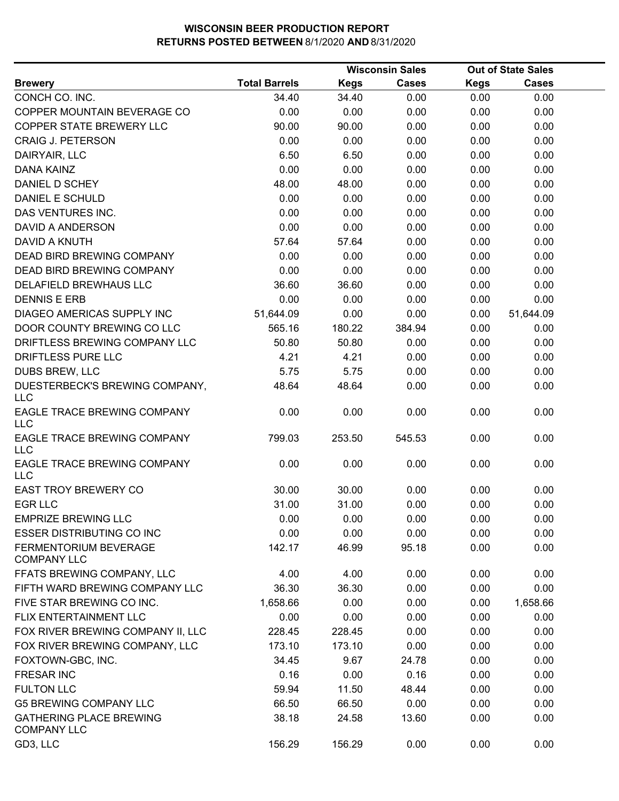|                                                      |                      | <b>Wisconsin Sales</b> |              |             | <b>Out of State Sales</b> |  |
|------------------------------------------------------|----------------------|------------------------|--------------|-------------|---------------------------|--|
| <b>Brewery</b>                                       | <b>Total Barrels</b> | <b>Kegs</b>            | <b>Cases</b> | <b>Kegs</b> | <b>Cases</b>              |  |
| CONCH CO. INC.                                       | 34.40                | 34.40                  | 0.00         | 0.00        | 0.00                      |  |
| COPPER MOUNTAIN BEVERAGE CO                          | 0.00                 | 0.00                   | 0.00         | 0.00        | 0.00                      |  |
| COPPER STATE BREWERY LLC                             | 90.00                | 90.00                  | 0.00         | 0.00        | 0.00                      |  |
| <b>CRAIG J. PETERSON</b>                             | 0.00                 | 0.00                   | 0.00         | 0.00        | 0.00                      |  |
| DAIRYAIR, LLC                                        | 6.50                 | 6.50                   | 0.00         | 0.00        | 0.00                      |  |
| DANA KAINZ                                           | 0.00                 | 0.00                   | 0.00         | 0.00        | 0.00                      |  |
| DANIEL D SCHEY                                       | 48.00                | 48.00                  | 0.00         | 0.00        | 0.00                      |  |
| DANIEL E SCHULD                                      | 0.00                 | 0.00                   | 0.00         | 0.00        | 0.00                      |  |
| DAS VENTURES INC.                                    | 0.00                 | 0.00                   | 0.00         | 0.00        | 0.00                      |  |
| <b>DAVID A ANDERSON</b>                              | 0.00                 | 0.00                   | 0.00         | 0.00        | 0.00                      |  |
| DAVID A KNUTH                                        | 57.64                | 57.64                  | 0.00         | 0.00        | 0.00                      |  |
| DEAD BIRD BREWING COMPANY                            | 0.00                 | 0.00                   | 0.00         | 0.00        | 0.00                      |  |
| DEAD BIRD BREWING COMPANY                            | 0.00                 | 0.00                   | 0.00         | 0.00        | 0.00                      |  |
| DELAFIELD BREWHAUS LLC                               | 36.60                | 36.60                  | 0.00         | 0.00        | 0.00                      |  |
| <b>DENNIS E ERB</b>                                  | 0.00                 | 0.00                   | 0.00         | 0.00        | 0.00                      |  |
| DIAGEO AMERICAS SUPPLY INC                           | 51,644.09            | 0.00                   | 0.00         | 0.00        | 51,644.09                 |  |
| DOOR COUNTY BREWING CO LLC                           | 565.16               | 180.22                 | 384.94       | 0.00        | 0.00                      |  |
| DRIFTLESS BREWING COMPANY LLC                        | 50.80                | 50.80                  | 0.00         | 0.00        | 0.00                      |  |
| DRIFTLESS PURE LLC                                   | 4.21                 | 4.21                   | 0.00         | 0.00        | 0.00                      |  |
| DUBS BREW, LLC                                       | 5.75                 | 5.75                   | 0.00         | 0.00        | 0.00                      |  |
| DUESTERBECK'S BREWING COMPANY,<br><b>LLC</b>         | 48.64                | 48.64                  | 0.00         | 0.00        | 0.00                      |  |
| EAGLE TRACE BREWING COMPANY<br>LLC                   | 0.00                 | 0.00                   | 0.00         | 0.00        | 0.00                      |  |
| EAGLE TRACE BREWING COMPANY<br><b>LLC</b>            | 799.03               | 253.50                 | 545.53       | 0.00        | 0.00                      |  |
| EAGLE TRACE BREWING COMPANY<br><b>LLC</b>            | 0.00                 | 0.00                   | 0.00         | 0.00        | 0.00                      |  |
| <b>EAST TROY BREWERY CO</b>                          | 30.00                | 30.00                  | 0.00         | 0.00        | 0.00                      |  |
| <b>EGR LLC</b>                                       | 31.00                | 31.00                  | 0.00         | 0.00        | 0.00                      |  |
| <b>EMPRIZE BREWING LLC</b>                           | 0.00                 | 0.00                   | 0.00         | 0.00        | 0.00                      |  |
| <b>ESSER DISTRIBUTING CO INC</b>                     | 0.00                 | 0.00                   | 0.00         | 0.00        | 0.00                      |  |
| FERMENTORIUM BEVERAGE<br><b>COMPANY LLC</b>          | 142.17               | 46.99                  | 95.18        | 0.00        | 0.00                      |  |
| FFATS BREWING COMPANY, LLC                           | 4.00                 | 4.00                   | 0.00         | 0.00        | 0.00                      |  |
| FIFTH WARD BREWING COMPANY LLC                       | 36.30                | 36.30                  | 0.00         | 0.00        | 0.00                      |  |
| FIVE STAR BREWING CO INC.                            | 1,658.66             | 0.00                   | 0.00         | 0.00        | 1,658.66                  |  |
| FLIX ENTERTAINMENT LLC                               | 0.00                 | 0.00                   | 0.00         | 0.00        | 0.00                      |  |
| FOX RIVER BREWING COMPANY II, LLC                    | 228.45               | 228.45                 | 0.00         | 0.00        | 0.00                      |  |
| FOX RIVER BREWING COMPANY, LLC                       | 173.10               | 173.10                 | 0.00         | 0.00        | 0.00                      |  |
| FOXTOWN-GBC, INC.                                    | 34.45                | 9.67                   | 24.78        | 0.00        | 0.00                      |  |
| <b>FRESAR INC</b>                                    | 0.16                 | 0.00                   | 0.16         | 0.00        | 0.00                      |  |
| <b>FULTON LLC</b>                                    | 59.94                | 11.50                  | 48.44        | 0.00        | 0.00                      |  |
| <b>G5 BREWING COMPANY LLC</b>                        | 66.50                | 66.50                  | 0.00         | 0.00        | 0.00                      |  |
| <b>GATHERING PLACE BREWING</b><br><b>COMPANY LLC</b> | 38.18                | 24.58                  | 13.60        | 0.00        | 0.00                      |  |
| GD3, LLC                                             | 156.29               | 156.29                 | 0.00         | 0.00        | 0.00                      |  |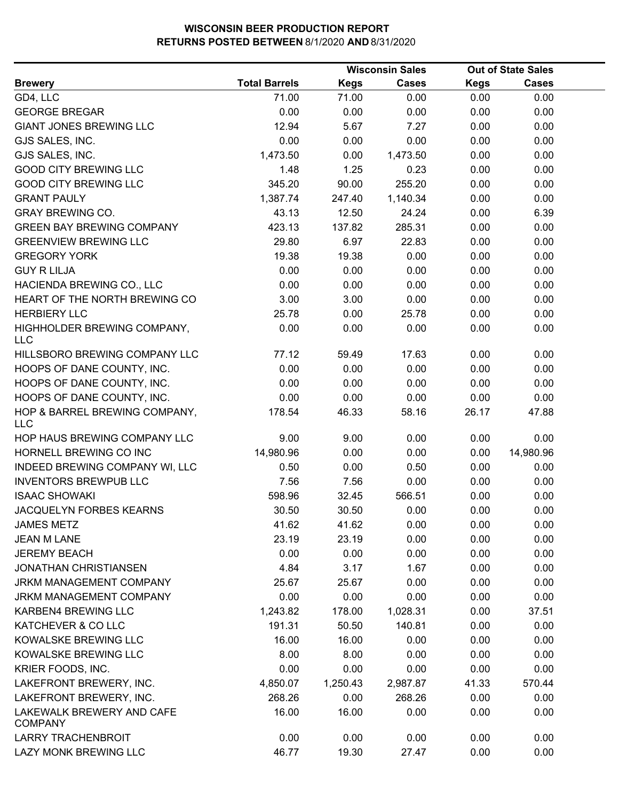|                                             |                      |             | <b>Wisconsin Sales</b> |             | <b>Out of State Sales</b> |  |
|---------------------------------------------|----------------------|-------------|------------------------|-------------|---------------------------|--|
| <b>Brewery</b>                              | <b>Total Barrels</b> | <b>Kegs</b> | <b>Cases</b>           | <b>Kegs</b> | <b>Cases</b>              |  |
| GD4, LLC                                    | 71.00                | 71.00       | 0.00                   | 0.00        | 0.00                      |  |
| <b>GEORGE BREGAR</b>                        | 0.00                 | 0.00        | 0.00                   | 0.00        | 0.00                      |  |
| <b>GIANT JONES BREWING LLC</b>              | 12.94                | 5.67        | 7.27                   | 0.00        | 0.00                      |  |
| GJS SALES, INC.                             | 0.00                 | 0.00        | 0.00                   | 0.00        | 0.00                      |  |
| GJS SALES, INC.                             | 1,473.50             | 0.00        | 1,473.50               | 0.00        | 0.00                      |  |
| <b>GOOD CITY BREWING LLC</b>                | 1.48                 | 1.25        | 0.23                   | 0.00        | 0.00                      |  |
| <b>GOOD CITY BREWING LLC</b>                | 345.20               | 90.00       | 255.20                 | 0.00        | 0.00                      |  |
| <b>GRANT PAULY</b>                          | 1,387.74             | 247.40      | 1,140.34               | 0.00        | 0.00                      |  |
| <b>GRAY BREWING CO.</b>                     | 43.13                | 12.50       | 24.24                  | 0.00        | 6.39                      |  |
| <b>GREEN BAY BREWING COMPANY</b>            | 423.13               | 137.82      | 285.31                 | 0.00        | 0.00                      |  |
| <b>GREENVIEW BREWING LLC</b>                | 29.80                | 6.97        | 22.83                  | 0.00        | 0.00                      |  |
| <b>GREGORY YORK</b>                         | 19.38                | 19.38       | 0.00                   | 0.00        | 0.00                      |  |
| <b>GUY R LILJA</b>                          | 0.00                 | 0.00        | 0.00                   | 0.00        | 0.00                      |  |
| HACIENDA BREWING CO., LLC                   | 0.00                 | 0.00        | 0.00                   | 0.00        | 0.00                      |  |
| HEART OF THE NORTH BREWING CO               | 3.00                 | 3.00        | 0.00                   | 0.00        | 0.00                      |  |
| <b>HERBIERY LLC</b>                         | 25.78                | 0.00        | 25.78                  | 0.00        | 0.00                      |  |
| HIGHHOLDER BREWING COMPANY,<br><b>LLC</b>   | 0.00                 | 0.00        | 0.00                   | 0.00        | 0.00                      |  |
| HILLSBORO BREWING COMPANY LLC               | 77.12                | 59.49       | 17.63                  | 0.00        | 0.00                      |  |
| HOOPS OF DANE COUNTY, INC.                  | 0.00                 | 0.00        | 0.00                   | 0.00        | 0.00                      |  |
| HOOPS OF DANE COUNTY, INC.                  | 0.00                 | 0.00        | 0.00                   | 0.00        | 0.00                      |  |
| HOOPS OF DANE COUNTY, INC.                  | 0.00                 | 0.00        | 0.00                   | 0.00        | 0.00                      |  |
| HOP & BARREL BREWING COMPANY,<br><b>LLC</b> | 178.54               | 46.33       | 58.16                  | 26.17       | 47.88                     |  |
| HOP HAUS BREWING COMPANY LLC                | 9.00                 | 9.00        | 0.00                   | 0.00        | 0.00                      |  |
| HORNELL BREWING CO INC                      | 14,980.96            | 0.00        | 0.00                   | 0.00        | 14,980.96                 |  |
| INDEED BREWING COMPANY WI, LLC              | 0.50                 | 0.00        | 0.50                   | 0.00        | 0.00                      |  |
| <b>INVENTORS BREWPUB LLC</b>                | 7.56                 | 7.56        | 0.00                   | 0.00        | 0.00                      |  |
| <b>ISAAC SHOWAKI</b>                        | 598.96               | 32.45       | 566.51                 | 0.00        | 0.00                      |  |
| <b>JACQUELYN FORBES KEARNS</b>              | 30.50                | 30.50       | 0.00                   | 0.00        | 0.00                      |  |
| <b>JAMES METZ</b>                           | 41.62                | 41.62       | 0.00                   | 0.00        | 0.00                      |  |
| <b>JEAN M LANE</b>                          | 23.19                | 23.19       | 0.00                   | 0.00        | 0.00                      |  |
| <b>JEREMY BEACH</b>                         | 0.00                 | 0.00        | 0.00                   | 0.00        | 0.00                      |  |
| <b>JONATHAN CHRISTIANSEN</b>                | 4.84                 | 3.17        | 1.67                   | 0.00        | 0.00                      |  |
| <b>JRKM MANAGEMENT COMPANY</b>              | 25.67                | 25.67       | 0.00                   | 0.00        | 0.00                      |  |
| JRKM MANAGEMENT COMPANY                     | 0.00                 | 0.00        | 0.00                   | 0.00        | 0.00                      |  |
| <b>KARBEN4 BREWING LLC</b>                  | 1,243.82             | 178.00      | 1,028.31               | 0.00        | 37.51                     |  |
| KATCHEVER & CO LLC                          | 191.31               | 50.50       | 140.81                 | 0.00        | 0.00                      |  |
| KOWALSKE BREWING LLC                        | 16.00                | 16.00       | 0.00                   | 0.00        | 0.00                      |  |
| KOWALSKE BREWING LLC                        | 8.00                 | 8.00        | 0.00                   | 0.00        | 0.00                      |  |
| KRIER FOODS, INC.                           | 0.00                 | 0.00        | 0.00                   | 0.00        | 0.00                      |  |
| LAKEFRONT BREWERY, INC.                     | 4,850.07             | 1,250.43    | 2,987.87               | 41.33       | 570.44                    |  |
| LAKEFRONT BREWERY, INC.                     | 268.26               | 0.00        | 268.26                 | 0.00        | 0.00                      |  |
| LAKEWALK BREWERY AND CAFE<br><b>COMPANY</b> | 16.00                | 16.00       | 0.00                   | 0.00        | 0.00                      |  |
| <b>LARRY TRACHENBROIT</b>                   | 0.00                 | 0.00        | 0.00                   | 0.00        | 0.00                      |  |
| LAZY MONK BREWING LLC                       | 46.77                | 19.30       | 27.47                  | 0.00        | 0.00                      |  |
|                                             |                      |             |                        |             |                           |  |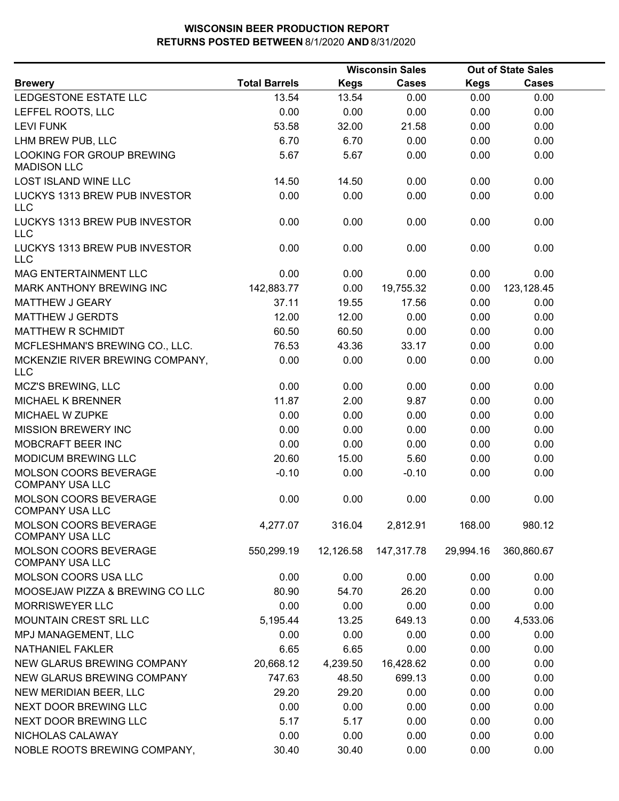|                                                 |                      |             | <b>Wisconsin Sales</b> |             | <b>Out of State Sales</b> |  |
|-------------------------------------------------|----------------------|-------------|------------------------|-------------|---------------------------|--|
| <b>Brewery</b>                                  | <b>Total Barrels</b> | <b>Kegs</b> | <b>Cases</b>           | <b>Kegs</b> | <b>Cases</b>              |  |
| LEDGESTONE ESTATE LLC                           | 13.54                | 13.54       | 0.00                   | 0.00        | 0.00                      |  |
| LEFFEL ROOTS, LLC                               | 0.00                 | 0.00        | 0.00                   | 0.00        | 0.00                      |  |
| <b>LEVI FUNK</b>                                | 53.58                | 32.00       | 21.58                  | 0.00        | 0.00                      |  |
| LHM BREW PUB, LLC                               | 6.70                 | 6.70        | 0.00                   | 0.00        | 0.00                      |  |
| LOOKING FOR GROUP BREWING<br><b>MADISON LLC</b> | 5.67                 | 5.67        | 0.00                   | 0.00        | 0.00                      |  |
| <b>LOST ISLAND WINE LLC</b>                     | 14.50                | 14.50       | 0.00                   | 0.00        | 0.00                      |  |
| LUCKYS 1313 BREW PUB INVESTOR<br><b>LLC</b>     | 0.00                 | 0.00        | 0.00                   | 0.00        | 0.00                      |  |
| LUCKYS 1313 BREW PUB INVESTOR<br><b>LLC</b>     | 0.00                 | 0.00        | 0.00                   | 0.00        | 0.00                      |  |
| LUCKYS 1313 BREW PUB INVESTOR<br><b>LLC</b>     | 0.00                 | 0.00        | 0.00                   | 0.00        | 0.00                      |  |
| MAG ENTERTAINMENT LLC                           | 0.00                 | 0.00        | 0.00                   | 0.00        | 0.00                      |  |
| <b>MARK ANTHONY BREWING INC</b>                 | 142,883.77           | 0.00        | 19,755.32              | 0.00        | 123,128.45                |  |
| <b>MATTHEW J GEARY</b>                          | 37.11                | 19.55       | 17.56                  | 0.00        | 0.00                      |  |
| <b>MATTHEW J GERDTS</b>                         | 12.00                | 12.00       | 0.00                   | 0.00        | 0.00                      |  |
| MATTHEW R SCHMIDT                               | 60.50                | 60.50       | 0.00                   | 0.00        | 0.00                      |  |
| MCFLESHMAN'S BREWING CO., LLC.                  | 76.53                | 43.36       | 33.17                  | 0.00        | 0.00                      |  |
| MCKENZIE RIVER BREWING COMPANY,<br><b>LLC</b>   | 0.00                 | 0.00        | 0.00                   | 0.00        | 0.00                      |  |
| MCZ'S BREWING, LLC                              | 0.00                 | 0.00        | 0.00                   | 0.00        | 0.00                      |  |
| <b>MICHAEL K BRENNER</b>                        | 11.87                | 2.00        | 9.87                   | 0.00        | 0.00                      |  |
| MICHAEL W ZUPKE                                 | 0.00                 | 0.00        | 0.00                   | 0.00        | 0.00                      |  |
| <b>MISSION BREWERY INC</b>                      | 0.00                 | 0.00        | 0.00                   | 0.00        | 0.00                      |  |
| MOBCRAFT BEER INC                               | 0.00                 | 0.00        | 0.00                   | 0.00        | 0.00                      |  |
| MODICUM BREWING LLC                             | 20.60                | 15.00       | 5.60                   | 0.00        | 0.00                      |  |
| MOLSON COORS BEVERAGE<br><b>COMPANY USA LLC</b> | $-0.10$              | 0.00        | $-0.10$                | 0.00        | 0.00                      |  |
| MOLSON COORS BEVERAGE<br><b>COMPANY USA LLC</b> | 0.00                 | 0.00        | 0.00                   | 0.00        | 0.00                      |  |
| MOLSON COORS BEVERAGE<br><b>COMPANY USA LLC</b> | 4,277.07             | 316.04      | 2,812.91               | 168.00      | 980.12                    |  |
| MOLSON COORS BEVERAGE<br><b>COMPANY USA LLC</b> | 550,299.19           | 12,126.58   | 147,317.78             | 29,994.16   | 360,860.67                |  |
| MOLSON COORS USA LLC                            | 0.00                 | 0.00        | 0.00                   | 0.00        | 0.00                      |  |
| MOOSEJAW PIZZA & BREWING CO LLC                 | 80.90                | 54.70       | 26.20                  | 0.00        | 0.00                      |  |
| <b>MORRISWEYER LLC</b>                          | 0.00                 | 0.00        | 0.00                   | 0.00        | 0.00                      |  |
| MOUNTAIN CREST SRL LLC                          | 5,195.44             | 13.25       | 649.13                 | 0.00        | 4,533.06                  |  |
| MPJ MANAGEMENT, LLC                             | 0.00                 | 0.00        | 0.00                   | 0.00        | 0.00                      |  |
| <b>NATHANIEL FAKLER</b>                         | 6.65                 | 6.65        | 0.00                   | 0.00        | 0.00                      |  |
| NEW GLARUS BREWING COMPANY                      | 20,668.12            | 4,239.50    | 16,428.62              | 0.00        | 0.00                      |  |
| NEW GLARUS BREWING COMPANY                      | 747.63               | 48.50       | 699.13                 | 0.00        | 0.00                      |  |
| NEW MERIDIAN BEER, LLC                          | 29.20                | 29.20       | 0.00                   | 0.00        | 0.00                      |  |
| NEXT DOOR BREWING LLC                           | 0.00                 | 0.00        | 0.00                   | 0.00        | 0.00                      |  |
| NEXT DOOR BREWING LLC                           | 5.17                 | 5.17        | 0.00                   | 0.00        | 0.00                      |  |
| NICHOLAS CALAWAY                                | 0.00                 | 0.00        | 0.00                   | 0.00        | 0.00                      |  |
| NOBLE ROOTS BREWING COMPANY,                    | 30.40                | 30.40       | 0.00                   | 0.00        | 0.00                      |  |
|                                                 |                      |             |                        |             |                           |  |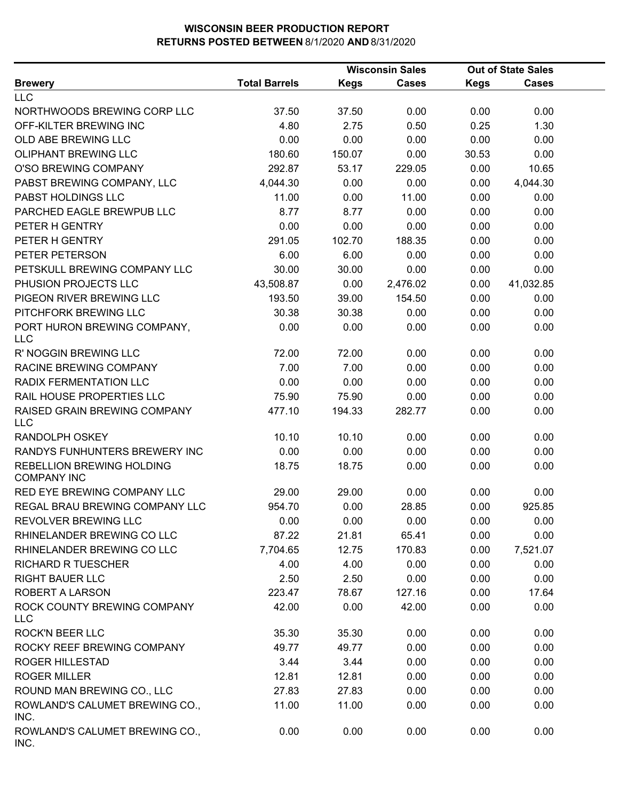|                                                        | <b>Wisconsin Sales</b> |             | <b>Out of State Sales</b> |             |              |  |
|--------------------------------------------------------|------------------------|-------------|---------------------------|-------------|--------------|--|
| <b>Brewery</b>                                         | <b>Total Barrels</b>   | <b>Kegs</b> | <b>Cases</b>              | <b>Kegs</b> | <b>Cases</b> |  |
| <b>LLC</b>                                             |                        |             |                           |             |              |  |
| NORTHWOODS BREWING CORP LLC                            | 37.50                  | 37.50       | 0.00                      | 0.00        | 0.00         |  |
| OFF-KILTER BREWING INC                                 | 4.80                   | 2.75        | 0.50                      | 0.25        | 1.30         |  |
| OLD ABE BREWING LLC                                    | 0.00                   | 0.00        | 0.00                      | 0.00        | 0.00         |  |
| <b>OLIPHANT BREWING LLC</b>                            | 180.60                 | 150.07      | 0.00                      | 30.53       | 0.00         |  |
| O'SO BREWING COMPANY                                   | 292.87                 | 53.17       | 229.05                    | 0.00        | 10.65        |  |
| PABST BREWING COMPANY, LLC                             | 4,044.30               | 0.00        | 0.00                      | 0.00        | 4,044.30     |  |
| PABST HOLDINGS LLC                                     | 11.00                  | 0.00        | 11.00                     | 0.00        | 0.00         |  |
| PARCHED EAGLE BREWPUB LLC                              | 8.77                   | 8.77        | 0.00                      | 0.00        | 0.00         |  |
| PETER H GENTRY                                         | 0.00                   | 0.00        | 0.00                      | 0.00        | 0.00         |  |
| PETER H GENTRY                                         | 291.05                 | 102.70      | 188.35                    | 0.00        | 0.00         |  |
| PETER PETERSON                                         | 6.00                   | 6.00        | 0.00                      | 0.00        | 0.00         |  |
| PETSKULL BREWING COMPANY LLC                           | 30.00                  | 30.00       | 0.00                      | 0.00        | 0.00         |  |
| PHUSION PROJECTS LLC                                   | 43,508.87              | 0.00        | 2,476.02                  | 0.00        | 41,032.85    |  |
| PIGEON RIVER BREWING LLC                               | 193.50                 | 39.00       | 154.50                    | 0.00        | 0.00         |  |
| PITCHFORK BREWING LLC                                  | 30.38                  | 30.38       | 0.00                      | 0.00        | 0.00         |  |
| PORT HURON BREWING COMPANY,<br><b>LLC</b>              | 0.00                   | 0.00        | 0.00                      | 0.00        | 0.00         |  |
| R' NOGGIN BREWING LLC                                  | 72.00                  | 72.00       | 0.00                      | 0.00        | 0.00         |  |
| RACINE BREWING COMPANY                                 | 7.00                   | 7.00        | 0.00                      | 0.00        | 0.00         |  |
| RADIX FERMENTATION LLC                                 | 0.00                   | 0.00        | 0.00                      | 0.00        | 0.00         |  |
| RAIL HOUSE PROPERTIES LLC                              | 75.90                  | 75.90       | 0.00                      | 0.00        | 0.00         |  |
| RAISED GRAIN BREWING COMPANY<br>LLC                    | 477.10                 | 194.33      | 282.77                    | 0.00        | 0.00         |  |
| RANDOLPH OSKEY                                         | 10.10                  | 10.10       | 0.00                      | 0.00        | 0.00         |  |
| RANDYS FUNHUNTERS BREWERY INC                          | 0.00                   | 0.00        | 0.00                      | 0.00        | 0.00         |  |
| <b>REBELLION BREWING HOLDING</b><br><b>COMPANY INC</b> | 18.75                  | 18.75       | 0.00                      | 0.00        | 0.00         |  |
| RED EYE BREWING COMPANY LLC                            | 29.00                  | 29.00       | 0.00                      | 0.00        | 0.00         |  |
| REGAL BRAU BREWING COMPANY LLC                         | 954.70                 | 0.00        | 28.85                     | 0.00        | 925.85       |  |
| REVOLVER BREWING LLC                                   | 0.00                   | 0.00        | 0.00                      | 0.00        | 0.00         |  |
| RHINELANDER BREWING CO LLC                             | 87.22                  | 21.81       | 65.41                     | 0.00        | 0.00         |  |
| RHINELANDER BREWING CO LLC                             | 7,704.65               | 12.75       | 170.83                    | 0.00        | 7,521.07     |  |
| <b>RICHARD R TUESCHER</b>                              | 4.00                   | 4.00        | 0.00                      | 0.00        | 0.00         |  |
| <b>RIGHT BAUER LLC</b>                                 | 2.50                   | 2.50        | 0.00                      | 0.00        | 0.00         |  |
| ROBERT A LARSON                                        | 223.47                 | 78.67       | 127.16                    | 0.00        | 17.64        |  |
| ROCK COUNTY BREWING COMPANY<br><b>LLC</b>              | 42.00                  | 0.00        | 42.00                     | 0.00        | 0.00         |  |
| <b>ROCK'N BEER LLC</b>                                 | 35.30                  | 35.30       | 0.00                      | 0.00        | 0.00         |  |
| ROCKY REEF BREWING COMPANY                             | 49.77                  | 49.77       | 0.00                      | 0.00        | 0.00         |  |
| <b>ROGER HILLESTAD</b>                                 | 3.44                   | 3.44        | 0.00                      | 0.00        | 0.00         |  |
| <b>ROGER MILLER</b>                                    | 12.81                  | 12.81       | 0.00                      | 0.00        | 0.00         |  |
| ROUND MAN BREWING CO., LLC                             | 27.83                  | 27.83       | 0.00                      | 0.00        | 0.00         |  |
| ROWLAND'S CALUMET BREWING CO.,<br>INC.                 | 11.00                  | 11.00       | 0.00                      | 0.00        | 0.00         |  |
| ROWLAND'S CALUMET BREWING CO.,<br>INC.                 | 0.00                   | 0.00        | 0.00                      | 0.00        | 0.00         |  |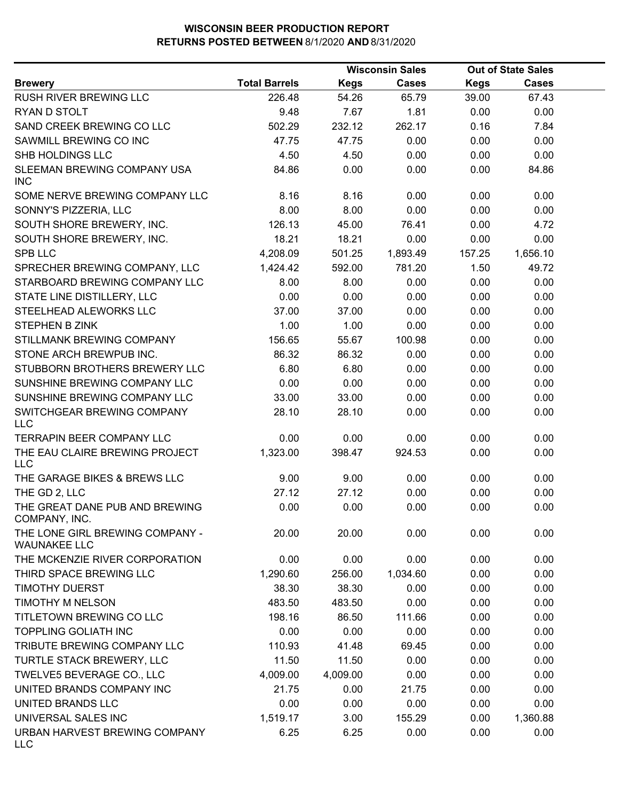|                                                        |                      |             | <b>Wisconsin Sales</b> |             | <b>Out of State Sales</b> |  |
|--------------------------------------------------------|----------------------|-------------|------------------------|-------------|---------------------------|--|
| <b>Brewery</b>                                         | <b>Total Barrels</b> | <b>Kegs</b> | <b>Cases</b>           | <b>Kegs</b> | <b>Cases</b>              |  |
| RUSH RIVER BREWING LLC                                 | 226.48               | 54.26       | 65.79                  | 39.00       | 67.43                     |  |
| RYAN D STOLT                                           | 9.48                 | 7.67        | 1.81                   | 0.00        | 0.00                      |  |
| SAND CREEK BREWING CO LLC                              | 502.29               | 232.12      | 262.17                 | 0.16        | 7.84                      |  |
| SAWMILL BREWING CO INC                                 | 47.75                | 47.75       | 0.00                   | 0.00        | 0.00                      |  |
| SHB HOLDINGS LLC                                       | 4.50                 | 4.50        | 0.00                   | 0.00        | 0.00                      |  |
| SLEEMAN BREWING COMPANY USA<br><b>INC</b>              | 84.86                | 0.00        | 0.00                   | 0.00        | 84.86                     |  |
| SOME NERVE BREWING COMPANY LLC                         | 8.16                 | 8.16        | 0.00                   | 0.00        | 0.00                      |  |
| SONNY'S PIZZERIA, LLC                                  | 8.00                 | 8.00        | 0.00                   | 0.00        | 0.00                      |  |
| SOUTH SHORE BREWERY, INC.                              | 126.13               | 45.00       | 76.41                  | 0.00        | 4.72                      |  |
| SOUTH SHORE BREWERY, INC.                              | 18.21                | 18.21       | 0.00                   | 0.00        | 0.00                      |  |
| <b>SPB LLC</b>                                         | 4,208.09             | 501.25      | 1,893.49               | 157.25      | 1,656.10                  |  |
| SPRECHER BREWING COMPANY, LLC                          | 1,424.42             | 592.00      | 781.20                 | 1.50        | 49.72                     |  |
| STARBOARD BREWING COMPANY LLC                          | 8.00                 | 8.00        | 0.00                   | 0.00        | 0.00                      |  |
| STATE LINE DISTILLERY, LLC                             | 0.00                 | 0.00        | 0.00                   | 0.00        | 0.00                      |  |
| STEELHEAD ALEWORKS LLC                                 | 37.00                | 37.00       | 0.00                   | 0.00        | 0.00                      |  |
| <b>STEPHEN B ZINK</b>                                  | 1.00                 | 1.00        | 0.00                   | 0.00        | 0.00                      |  |
| STILLMANK BREWING COMPANY                              | 156.65               | 55.67       | 100.98                 | 0.00        | 0.00                      |  |
| STONE ARCH BREWPUB INC.                                | 86.32                | 86.32       | 0.00                   | 0.00        | 0.00                      |  |
| STUBBORN BROTHERS BREWERY LLC                          | 6.80                 | 6.80        | 0.00                   | 0.00        | 0.00                      |  |
| SUNSHINE BREWING COMPANY LLC                           | 0.00                 | 0.00        | 0.00                   | 0.00        | 0.00                      |  |
| SUNSHINE BREWING COMPANY LLC                           | 33.00                | 33.00       | 0.00                   | 0.00        | 0.00                      |  |
| SWITCHGEAR BREWING COMPANY<br><b>LLC</b>               | 28.10                | 28.10       | 0.00                   | 0.00        | 0.00                      |  |
| <b>TERRAPIN BEER COMPANY LLC</b>                       | 0.00                 | 0.00        | 0.00                   | 0.00        | 0.00                      |  |
| THE EAU CLAIRE BREWING PROJECT<br><b>LLC</b>           | 1,323.00             | 398.47      | 924.53                 | 0.00        | 0.00                      |  |
| THE GARAGE BIKES & BREWS LLC                           | 9.00                 | 9.00        | 0.00                   | 0.00        | 0.00                      |  |
| THE GD 2, LLC                                          | 27.12                | 27.12       | 0.00                   | 0.00        | 0.00                      |  |
| THE GREAT DANE PUB AND BREWING<br>COMPANY, INC.        | 0.00                 | 0.00        | 0.00                   | 0.00        | 0.00                      |  |
| THE LONE GIRL BREWING COMPANY -<br><b>WAUNAKEE LLC</b> | 20.00                | 20.00       | 0.00                   | 0.00        | 0.00                      |  |
| THE MCKENZIE RIVER CORPORATION                         | 0.00                 | 0.00        | 0.00                   | 0.00        | 0.00                      |  |
| THIRD SPACE BREWING LLC                                | 1,290.60             | 256.00      | 1,034.60               | 0.00        | 0.00                      |  |
| <b>TIMOTHY DUERST</b>                                  | 38.30                | 38.30       | 0.00                   | 0.00        | 0.00                      |  |
| <b>TIMOTHY M NELSON</b>                                | 483.50               | 483.50      | 0.00                   | 0.00        | 0.00                      |  |
| TITLETOWN BREWING CO LLC                               | 198.16               | 86.50       | 111.66                 | 0.00        | 0.00                      |  |
| <b>TOPPLING GOLIATH INC</b>                            | 0.00                 | 0.00        | 0.00                   | 0.00        | 0.00                      |  |
| TRIBUTE BREWING COMPANY LLC                            | 110.93               | 41.48       | 69.45                  | 0.00        | 0.00                      |  |
| TURTLE STACK BREWERY, LLC                              | 11.50                | 11.50       | 0.00                   | 0.00        | 0.00                      |  |
| TWELVE5 BEVERAGE CO., LLC                              | 4,009.00             | 4,009.00    | 0.00                   | 0.00        | 0.00                      |  |
| UNITED BRANDS COMPANY INC                              | 21.75                | 0.00        | 21.75                  | 0.00        | 0.00                      |  |
| UNITED BRANDS LLC                                      | 0.00                 | 0.00        | 0.00                   | 0.00        | 0.00                      |  |
| UNIVERSAL SALES INC                                    | 1,519.17             | 3.00        | 155.29                 | 0.00        | 1,360.88                  |  |
| URBAN HARVEST BREWING COMPANY<br><b>LLC</b>            | 6.25                 | 6.25        | 0.00                   | 0.00        | 0.00                      |  |